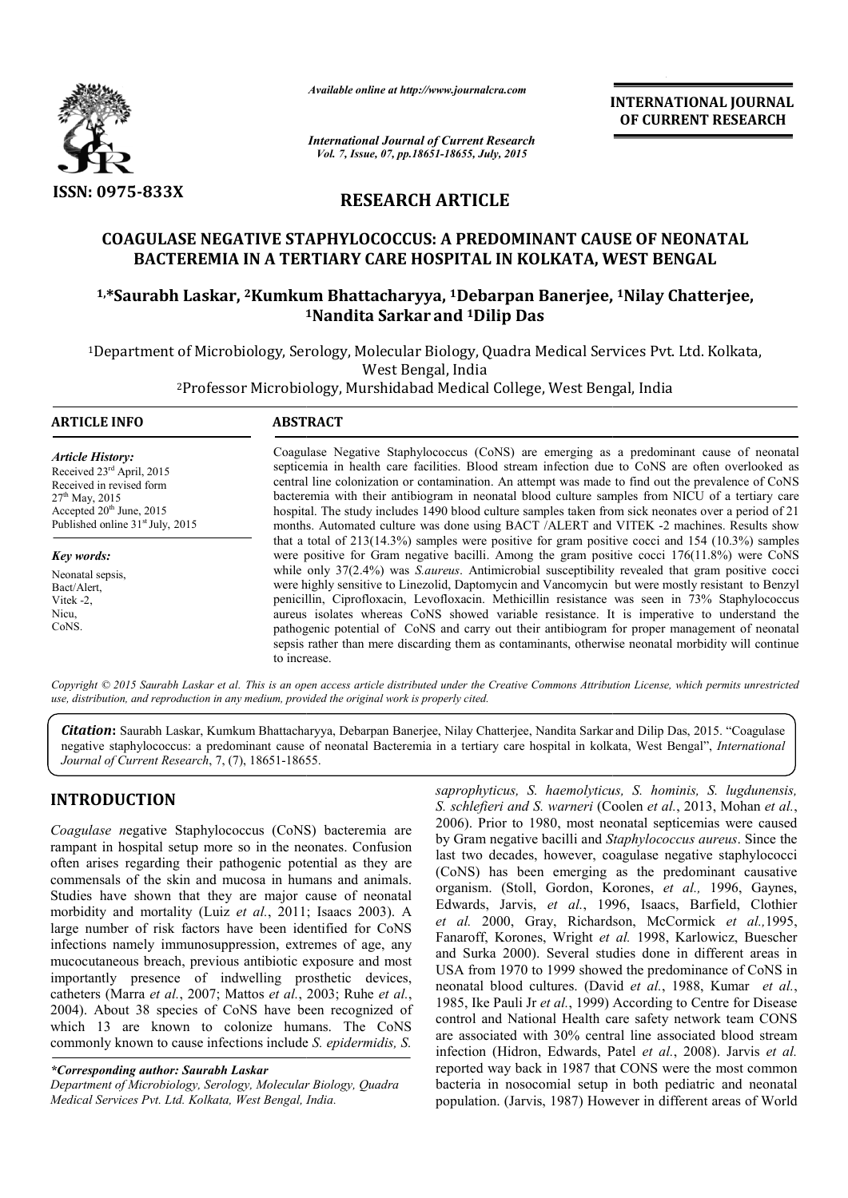

*Available online at http://www.journalcra.com*

**INTERNATIONAL INTERNATIONAL JOURNAL OF CURRENT RESEARCH** 

*International Journal of Current Research Vol. 7, Issue, 07, pp.18651-18655, July, 2015*

### **RESEARCH ARTICLE**

## **COAGULASE NEGATIVE STAPHYLOCOCCUS: A PREDOMINANT CAUSE OF NEONATAL BACTEREMIA IN A TERTIARY CARE HOSPITAL IN KOLKATA, WEST BENGAL COAGULASE NEGATIVE STAPHYLOCOCCUS: A PREDOMINANT CAUSE OF NEONATAL<br>BACTEREMIA IN A TERTIARY CARE HOSPITAL IN KOLKATA, WEST BENGAL<br><sup>1,\*</sup>Saurabh Laskar, <sup>2</sup>Kumkum Bhattacharyya, <sup>1</sup>Debarpan Banerjee, <sup>1</sup>Nilay Chatterjee,**

# **1 1Nandita Sarkar and 1Dilip Das**

1Department of Microbiology, Serology, Molecular Biology, Quadra Medical Services Pvt. Ltd. Kolkata,<br>West Bengal, India<br><sup>2</sup>Professor Microbiology, Murshidabad Medical College, West Bengal, India

2Professor Microbiology, Murshidabad Medical College, West Bengal, India Professor

| <b>ARTICLE INFO</b>                                                                                                                                                                            | <b>ABSTRACT</b>                                                                                                                                                                                                                                                                                                                                                                                                                                                                                                                                                                                             |
|------------------------------------------------------------------------------------------------------------------------------------------------------------------------------------------------|-------------------------------------------------------------------------------------------------------------------------------------------------------------------------------------------------------------------------------------------------------------------------------------------------------------------------------------------------------------------------------------------------------------------------------------------------------------------------------------------------------------------------------------------------------------------------------------------------------------|
| <b>Article History:</b><br>Received 23 <sup>rd</sup> April, 2015<br>Received in revised form<br>$27th$ May, 2015<br>Accepted $20th$ June, 2015<br>Published online 31 <sup>st</sup> July, 2015 | Coagulase Negative Staphylococcus (CoNS) are emerging as a predominant cause of neonatal<br>septicemia in health care facilities. Blood stream infection due to CoNS are often overlooked as<br>central line colonization or contamination. An attempt was made to find out the prevalence of CoNS<br>bacteremia with their antibiogram in neonatal blood culture samples from NICU of a tertiary care<br>hospital. The study includes 1490 blood culture samples taken from sick neonates over a period of 21<br>months. Automated culture was done using BACT / ALERT and VITEK -2 machines. Results show |
| Key words:                                                                                                                                                                                     | that a total of $213(14.3%)$ samples were positive for gram positive cocci and $154(10.3%)$ samples<br>were positive for Gram negative bacilli. Among the gram positive cocci $176(11.8%)$ were CoNS                                                                                                                                                                                                                                                                                                                                                                                                        |
| Neonatal sepsis.                                                                                                                                                                               | while only $37(2.4%)$ was <i>S. aureus</i> . Antimicrobial susceptibility revealed that gram positive cocci                                                                                                                                                                                                                                                                                                                                                                                                                                                                                                 |
| Bact/Alert,                                                                                                                                                                                    | were highly sensitive to Linezolid, Daptomycin and Vancomycin but were mostly resistant to Benzyl                                                                                                                                                                                                                                                                                                                                                                                                                                                                                                           |
| Vitek $-2$ ,                                                                                                                                                                                   | penicillin, Ciprofloxacin, Levofloxacin. Methicillin resistance was seen in 73% Staphylococcus                                                                                                                                                                                                                                                                                                                                                                                                                                                                                                              |
| Nicu,                                                                                                                                                                                          | aureus isolates whereas CoNS showed variable resistance. It is imperative to understand the                                                                                                                                                                                                                                                                                                                                                                                                                                                                                                                 |
| CoNS.                                                                                                                                                                                          | pathogenic potential of CoNS and carry out their antibiogram for proper management of neonatal<br>sepsis rather than mere discarding them as contaminants, otherwise neonatal morbidity will continue<br>to increase.                                                                                                                                                                                                                                                                                                                                                                                       |

Copyright © 2015 Saurabh Laskar et al. This is an open access article distributed under the Creative Commons Attribution License, which permits unrestrictea *use, distribution, and reproduction in any medium, provided the original work is properly cited.*

Citation: Saurabh Laskar, Kumkum Bhattacharyya, Debarpan Banerjee, Nilay Chatterjee, Nandita Sarkar and Dilip Das, 2015. "Coagulase negative staphylococcus: a predominant cause of neonatal Bacteremia in a tertiary care hospital in kolkata, West Bengal", *International* Journal of Current Research, 7, (7), 18651-18655.

#### **INTRODUCTION**

*Coagulase n*egative Staphylococcus (CoNS) bacteremia are rampant in hospital setup more so in the neonates. Confusion often arises regarding their pathogenic potential as they are commensals of the skin and mucosa in humans and animals. Studies have shown that they are major cause of neonatal Studies have shown that they are major cause of neonatal morbidity and mortality (Luiz *et al.*, 2011; Isaacs 2003). A large number of risk factors have been identified for CoNS infections namely immunosuppression, extremes of age, any mucocutaneous breach, previous antibiotic exposure and most importantly presence of indwelling prosthetic devices, catheters (Marra *et al.*, 2007; Mattos *et al.*, 2003; Ruhe *et al.*, 2004). About 38 species of CoNS have been recognized of . which 13 are known to colonize humans. The CoNS commonly known to cause infections include *S. epidermidis, S.* 

*\*Corresponding author: Saurabh Laskar Department of Microbiology, Serology, Molecular Biology, Quadra Medical Services Pvt. Ltd. Kolkata, West Bengal, India.*

*saprophyticus, S. haemolyticus, S. hominis, S. lugdunensis, S. schlefieri and S. warneri* (Coolen *et al.*, 2013, Mohan *et al.*, 2006). Prior to 1980, most neonatal septicemias were caused 1980, by Gram negative bacilli and *Staphylococcus aureus*. Since the last two decades, however, coagulase negative staphylococci (CoNS) has been emerging as the predominant causative organism. (Stoll, Gordon, Korones, *et al.,* 1996, Gaynes, Edwards, Jarvis, et al., 1996, Isaacs, Barfield, Clothier et al. 2000, Gray, Richardson, McCormick et al.,1995, Fanaroff, Korones, Wright et al. 1998, Karlowicz, Buescher and Surka 2000). Several studies done in different areas in and Surka 2000). Several studies done in different areas in USA from 1970 to 1999 showed the predominance of CoNS in neonatal blood cultures. (David *et al.*, 1988, Kumar *et al.*, 1985, Ike Pauli Jr *et al.*, 1999) According to Centre for Disease control and National Health care safety network team CONS are associated with 30% central line associated blood stream infection (Hidron, Edwards, Patel et al., 2008). Jarvis et al. reported way back in 1987 that CONS were the most common bacteria in nosocomial setup in both pediatric and neonatal population. (Jarvis, 1987) However in different areas of World uli Jr *et al.*, 1999) According to Centre for Disease<br>National Health care safety network team CONS<br>*ed with 30% central line associated blood stream*<br>idron, Edwards, Patel *et al.*, 2008). Jarvis *et al.* way back in 1987 that CONS were the most common<br>in nosocomial setup in both pediatric and neonatal<br>on. (Jarvis, 1987) However in different areas of World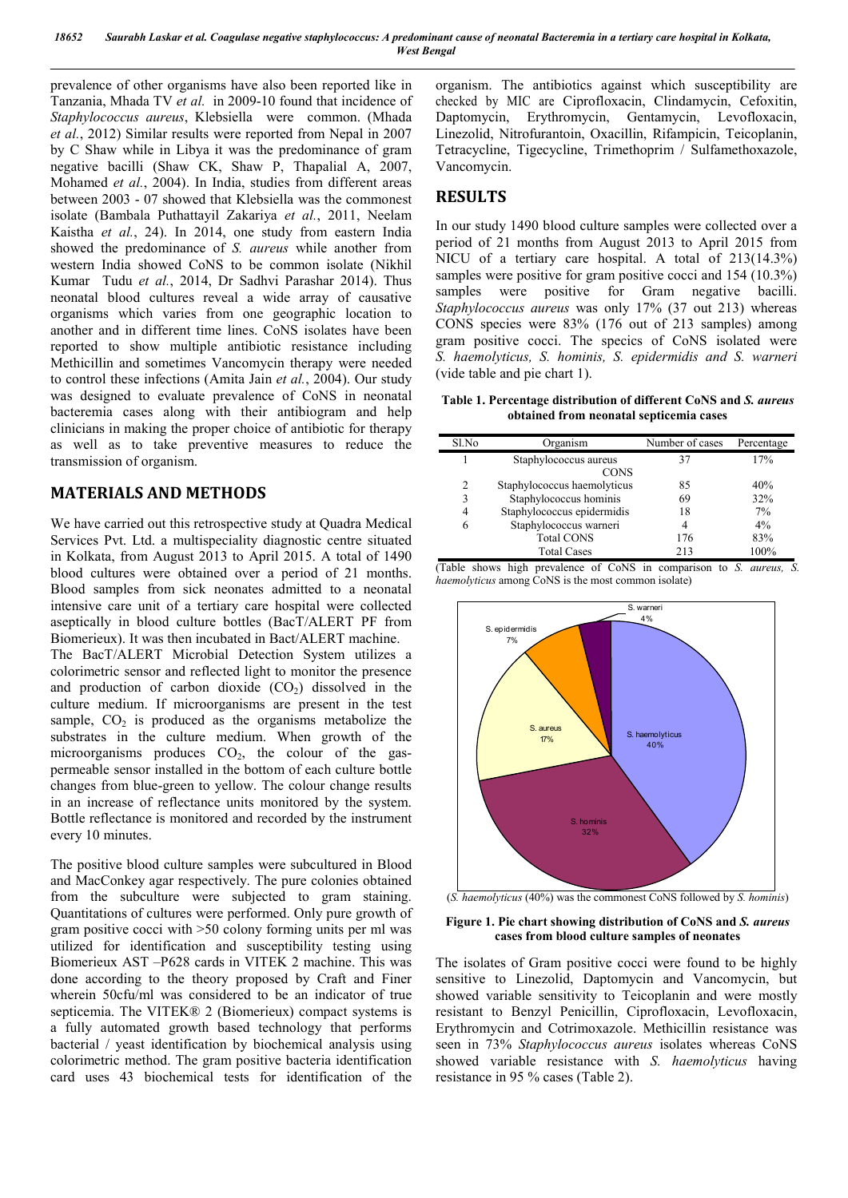prevalence of other organisms have also been reported like in Tanzania, Mhada TV *et al.* in 2009-10 found that incidence of *Staphylococcus aureus*, Klebsiella were common. (Mhada *et al.*, 2012) Similar results were reported from Nepal in 2007 by C Shaw while in Libya it was the predominance of gram negative bacilli (Shaw CK, Shaw P, Thapalial A, 2007, Mohamed *et al.*, 2004). In India, studies from different areas between 2003 - 07 showed that Klebsiella was the commonest isolate (Bambala Puthattayil Zakariya *et al.*, 2011, Neelam Kaistha *et al.*, 24). In 2014, one study from eastern India showed the predominance of *S. aureus* while another from western India showed CoNS to be common isolate (Nikhil Kumar Tudu *et al.*, 2014, Dr Sadhvi Parashar 2014). Thus neonatal blood cultures reveal a wide array of causative organisms which varies from one geographic location to another and in different time lines. CoNS isolates have been reported to show multiple antibiotic resistance including Methicillin and sometimes Vancomycin therapy were needed to control these infections (Amita Jain *et al.*, 2004). Our study was designed to evaluate prevalence of CoNS in neonatal bacteremia cases along with their antibiogram and help clinicians in making the proper choice of antibiotic for therapy as well as to take preventive measures to reduce the transmission of organism.

#### **MATERIALS AND METHODS**

We have carried out this retrospective study at Quadra Medical Services Pvt. Ltd. a multispeciality diagnostic centre situated in Kolkata, from August 2013 to April 2015. A total of 1490 blood cultures were obtained over a period of 21 months. Blood samples from sick neonates admitted to a neonatal intensive care unit of a tertiary care hospital were collected aseptically in blood culture bottles (BacT/ALERT PF from Biomerieux). It was then incubated in Bact/ALERT machine.

The BacT/ALERT Microbial Detection System utilizes a colorimetric sensor and reflected light to monitor the presence and production of carbon dioxide  $(CO<sub>2</sub>)$  dissolved in the culture medium. If microorganisms are present in the test sample,  $CO<sub>2</sub>$  is produced as the organisms metabolize the substrates in the culture medium. When growth of the microorganisms produces  $CO<sub>2</sub>$ , the colour of the gaspermeable sensor installed in the bottom of each culture bottle changes from blue-green to yellow. The colour change results in an increase of reflectance units monitored by the system. Bottle reflectance is monitored and recorded by the instrument every 10 minutes.

The positive blood culture samples were subcultured in Blood and MacConkey agar respectively. The pure colonies obtained from the subculture were subjected to gram staining. Quantitations of cultures were performed. Only pure growth of gram positive cocci with >50 colony forming units per ml was utilized for identification and susceptibility testing using Biomerieux AST –P628 cards in VITEK 2 machine. This was done according to the theory proposed by Craft and Finer wherein 50cfu/ml was considered to be an indicator of true septicemia. The VITEK® 2 (Biomerieux) compact systems is a fully automated growth based technology that performs bacterial / yeast identification by biochemical analysis using colorimetric method. The gram positive bacteria identification card uses 43 biochemical tests for identification of the

organism. The antibiotics against which susceptibility are checked by MIC are Ciprofloxacin, Clindamycin, Cefoxitin, Daptomycin, Erythromycin, Gentamycin, Levofloxacin, Linezolid, Nitrofurantoin, Oxacillin, Rifampicin, Teicoplanin, Tetracycline, Tigecycline, Trimethoprim / Sulfamethoxazole, Vancomycin.

#### **RESULTS**

In our study 1490 blood culture samples were collected over a period of 21 months from August 2013 to April 2015 from NICU of a tertiary care hospital. A total of 213(14.3%) samples were positive for gram positive cocci and 154 (10.3%) samples were positive for Gram negative bacilli. *Staphylococcus aureus* was only 17% (37 out 213) whereas CONS species were 83% (176 out of 213 samples) among gram positive cocci. The specics of CoNS isolated were *S. haemolyticus, S. hominis, S. epidermidis and S. warneri* (vide table and pie chart 1).

**Table 1. Percentage distribution of different CoNS and** *S. aureus* **obtained from neonatal septicemia cases**

| Sl.No          | Organism                    | Number of cases | Percentage |  |  |  |
|----------------|-----------------------------|-----------------|------------|--|--|--|
|                | Staphylococcus aureus       | 37              | 17%        |  |  |  |
|                | <b>CONS</b>                 |                 |            |  |  |  |
| 2              | Staphylococcus haemolyticus | 85              | 40%        |  |  |  |
| 3              | Staphylococcus hominis      | 69              | 32%        |  |  |  |
| $\overline{4}$ | Staphylococcus epidermidis  | 18              | 7%         |  |  |  |
| 6              | Staphylococcus warneri      | 4               | 4%         |  |  |  |
|                | <b>Total CONS</b>           | 176             | 83%        |  |  |  |
|                | <b>Total Cases</b>          | 213             | 100%       |  |  |  |

(Table shows high prevalence of CoNS in comparison to *S. aureus, S. haemolyticus* among CoNS is the most common isolate)



(*S. haemolyticus* (40%) was the commonest CoNS followed by *S. hominis*)

#### **Figure 1. Pie chart showing distribution of CoNS and** *S. aureus* **cases from blood culture samples of neonates**

The isolates of Gram positive cocci were found to be highly sensitive to Linezolid, Daptomycin and Vancomycin, but showed variable sensitivity to Teicoplanin and were mostly resistant to Benzyl Penicillin, Ciprofloxacin, Levofloxacin, Erythromycin and Cotrimoxazole. Methicillin resistance was seen in 73% *Staphylococcus aureus* isolates whereas CoNS showed variable resistance with *S. haemolyticus* having resistance in 95 % cases (Table 2).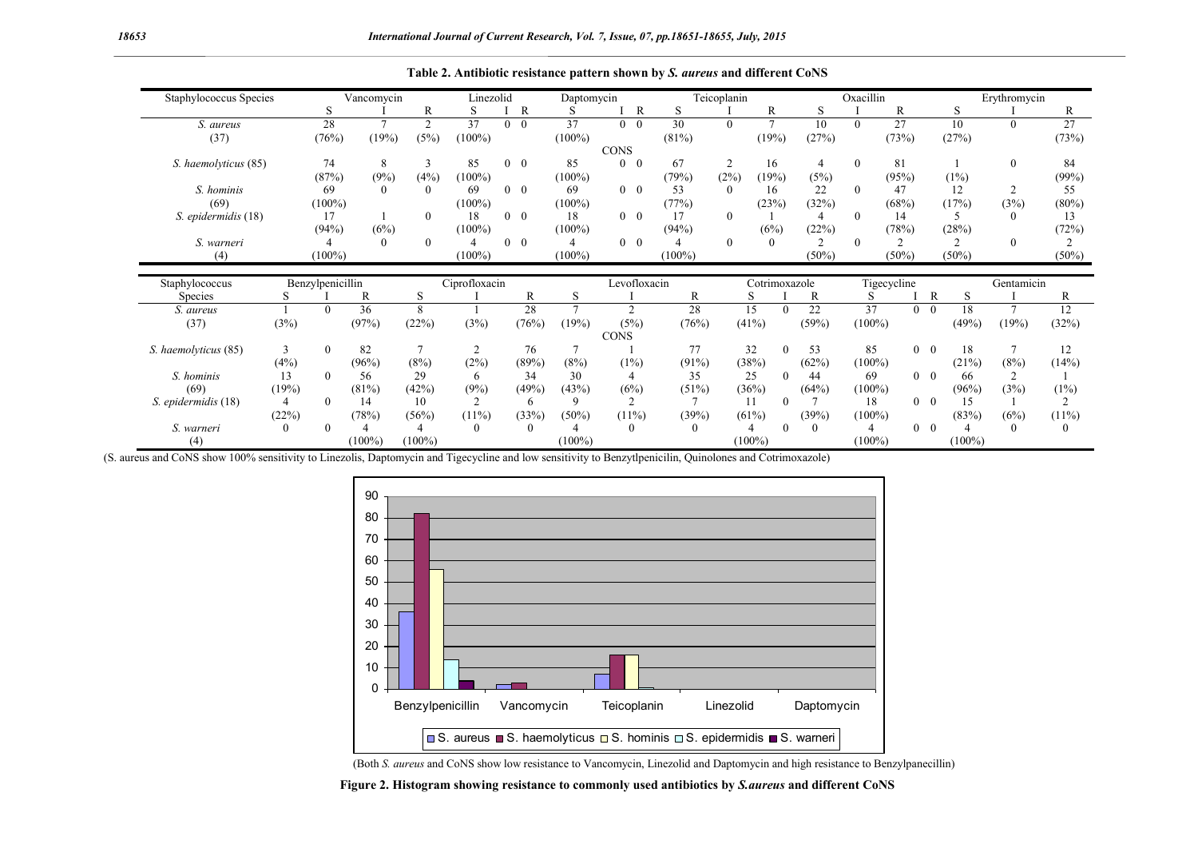| Staphylococcus Species |              | Vancomycin       |           |                | Linezolid     |                | Daptomycin     |           |             |                | Teicoplanin |                |               | Oxacillin |                |                 | Erythromycin |            |                   |               |                |
|------------------------|--------------|------------------|-----------|----------------|---------------|----------------|----------------|-----------|-------------|----------------|-------------|----------------|---------------|-----------|----------------|-----------------|--------------|------------|-------------------|---------------|----------------|
|                        |              | S                |           | R              | S             |                | R              | S         |             | $\overline{R}$ | S           |                | R             |           | S              |                 | R            |            | S                 |               | R              |
| S. aureus              |              | 28               |           | $\overline{c}$ | 37            | $\overline{0}$ | $\overline{0}$ | 37        |             | $0 \quad 0$    | 30          | $\theta$       | $\mathcal{I}$ |           | 10             | $\theta$        | 27           |            | 10                | $\Omega$      | 27             |
| (37)                   |              | (76%)            | (19%)     | (5%)           | $(100\%)$     |                |                | $(100\%)$ |             |                | (81%)       |                | (19%)         |           | (27%)          |                 | (73%)        |            | (27%)             |               | (73%)          |
|                        |              |                  |           |                |               |                |                |           | <b>CONS</b> |                |             |                |               |           |                |                 |              |            |                   |               |                |
| S. haemolyticus (85)   |              | 74               | 8         | 3              | 85            |                | $0 \quad 0$    | 85        | 0           | $\overline{0}$ | 67          | $\overline{2}$ | 16            |           | 4              | $\mathbf{0}$    | 81           |            |                   | $\theta$      | 84             |
|                        |              | (87%)            | (9%)      | (4%)           | $(100\%)$     |                |                | $(100\%)$ |             |                | (79%)       | (2%)           | (19%)         |           | (5%)           |                 | (95%)        |            | (1%)              |               | (99%)          |
| S. hominis             |              | 69               |           | $\theta$       | 69            |                | $0 \quad 0$    | 69        |             | $0\quad 0$     | 53          | $\theta$       | 16            |           | 22             | $\theta$        | 47           |            | 12                |               | 55             |
| (69)                   |              | $(100\%)$        |           |                | $(100\%)$     |                |                | $(100\%)$ |             |                | (77%)       |                | (23%)         |           | (32%)          |                 | (68%)        |            | (17%)             | (3%)          | $(80\%)$       |
| S. epidermidis (18)    |              | 17               |           | $\Omega$       | 18            |                | $0 \quad 0$    | 18        |             | $0 \quad 0$    | 17          | $\theta$       |               |           | 4              | $\Omega$        | 14           |            |                   | $\theta$      | 13             |
|                        |              | (94% )           | (6%)      |                | $(100\%)$     |                |                | $(100\%)$ |             |                | (94%)       |                | (6%)          |           | (22%)          |                 | (78%)        |            | (28%)             |               | (72%)          |
| S. warneri             |              |                  |           | $\Omega$       |               |                | $0 \quad 0$    | 4         |             | $0 \quad 0$    |             | $\Omega$       | $\Omega$      |           | $\mathfrak{D}$ | $\Omega$        | 2            |            | ↑                 | $\Omega$      | 2              |
| (4)                    |              | $(100\%)$        |           |                | $(100\%)$     |                |                | $(100\%)$ |             |                | $(100\%)$   |                |               |           | $(50\%)$       |                 | $(50\%)$     |            | $(50\%)$          |               | $(50\%)$       |
|                        |              |                  |           |                |               |                |                |           |             |                |             |                |               |           |                |                 |              |            |                   |               |                |
| Staphylococcus         |              | Benzylpenicillin |           |                | Ciprofloxacin |                |                |           |             | Levofloxacin   |             |                | Cotrimoxazole |           |                |                 | Tigecycline  |            |                   | Gentamicin    |                |
| <b>Species</b>         | S            |                  | R         | S              |               |                | R              | S         |             |                | R           |                | S             |           | R              |                 |              |            | $\mathbb{R}$<br>S |               | R              |
| S. aureus              |              | $\Omega$         | 36        | 8              |               |                | 28             |           |             | $\overline{c}$ | 28          |                | 15            |           | 22             | $\overline{37}$ |              | $\theta$   | 18<br>$\theta$    | $\mathcal{I}$ | 12             |
| (37)                   | (3%)         |                  | (97%)     | (22%)          | (3%)          |                | (76%)          | (19%)     |             | (5%)           | (76%)       |                | (41%)         |           | (59%)          | $(100\%)$       |              |            | (49%)             | (19%)         | (32%)          |
|                        |              |                  |           |                |               |                |                |           | <b>CONS</b> |                |             |                |               |           |                |                 |              |            |                   |               |                |
| S. haemolyticus (85)   | 3            | $\theta$         | 82        | $\overline{7}$ | 2             |                | 76             |           |             |                | 77          |                | 32            | $\theta$  | 53             | 85              |              | $\theta$   | 18<br>$\theta$    |               | 12             |
|                        | (4%)         |                  | (96%)     | (8%)           | (2%)          |                | (89%)          | (8%)      |             | (1%)           | $(91\%)$    |                | (38%)         |           | (62%)          | $(100\%)$       |              |            | (21%)             | (8%)          | (14%)          |
| S. hominis             | 13           | $\Omega$         | 56        | 29             | 6             |                | 34             | 30        |             | 4              | 35          |                | 25            | $\Omega$  | 44             | 69              |              | $0\quad 0$ | 66                |               |                |
| (69)                   | (19%)        |                  | (81%)     | (42%)          | (9%)          |                | (49%)          | (43%)     |             | (6%)           | (51%)       |                | (36%)         |           | (64%)          | $(100\%)$       |              |            | (96%)             | (3%)          | (1%)           |
| S. epidermidis (18)    | 4            | $\Omega$         | 14        | 10             | 2             |                | 6              | 9         |             | $\overline{c}$ |             |                | 11            | 0         |                | 18              |              | $\theta$   | $\theta$<br>15    |               | $\overline{2}$ |
|                        | (22%)        |                  | (78%)     | (56%)          | $(11\%)$      |                | (33%)          | (50%)     |             | $(11\%)$       | (39%)       |                | (61%)         |           | (39%)          | $(100\%)$       |              |            | (83%)             | (6%)          | (11%)          |
| S. warneri             | $\mathbf{0}$ | $\Omega$         |           | 4              | $\Omega$      |                | $\theta$       |           |             | $\Omega$       | $^{(1)}$    |                |               | 0         | $\theta$       |                 |              | $\theta$   | $\theta$          | $\theta$      | $\theta$       |
| (4)                    |              |                  | $(100\%)$ | $(100\%)$      |               |                |                | $(100\%)$ |             |                |             |                | $(100\%)$     |           |                | $(100\%)$       |              |            | $(100\%)$         |               |                |

**Table 2. Antibiotic resistance pattern shown by** *S. aureus* **and different CoNS**

(S. aureus and CoNS show 100% sensitivity to Linezolis, Daptomycin and Tigecycline and low sensitivity to Benzytlpenicilin, Quinolones and Cotrimoxazole)



(Both *S. aureus* and CoNS show low resistance to Vancomycin, Linezolid and Daptomycin and high resistance to Benzylpanecillin)

**Figure 2. Histogram showing resistance to commonly used antibiotics by** *S.aureus* **and different CoNS**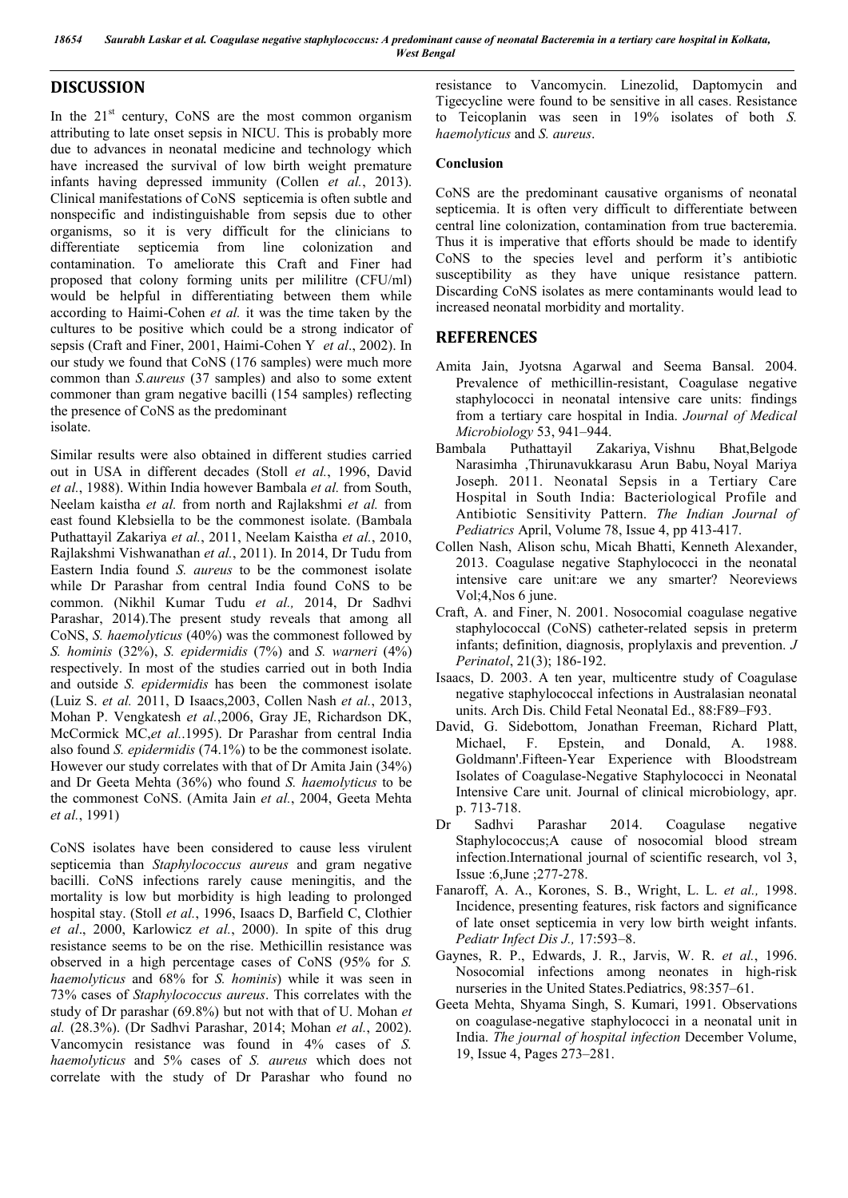*18654 Saurabh Laskar et al. Coagulase negative staphylococcus: A predominant cause of neonatal Bacteremia in a tertiary care hospital in Kolkata, West Bengal*

#### **DISCUSSION**

In the  $21<sup>st</sup>$  century, CoNS are the most common organism attributing to late onset sepsis in NICU. This is probably more due to advances in neonatal medicine and technology which have increased the survival of low birth weight premature infants having depressed immunity (Collen *et al.*, 2013). Clinical manifestations of CoNS septicemia is often subtle and nonspecific and indistinguishable from sepsis due to other organisms, so it is very difficult for the clinicians to differentiate septicemia from line colonization and contamination. To ameliorate this Craft and Finer had proposed that colony forming units per mililitre (CFU/ml) would be helpful in differentiating between them while according to Haimi-Cohen *et al.* it was the time taken by the cultures to be positive which could be a strong indicator of sepsis (Craft and Finer, 2001, Haimi-Cohen Y *et al*., 2002). In our study we found that CoNS (176 samples) were much more common than *S.aureus* (37 samples) and also to some extent commoner than gram negative bacilli (154 samples) reflecting the presence of CoNS as the predominant isolate.

Similar results were also obtained in different studies carried out in USA in different decades (Stoll *et al.*, 1996, David *et al.*, 1988). Within India however Bambala *et al.* from South, Neelam kaistha *et al.* from north and Rajlakshmi *et al.* from east found Klebsiella to be the commonest isolate. (Bambala Puthattayil Zakariya *et al.*, 2011, Neelam Kaistha *et al.*, 2010, Rajlakshmi Vishwanathan *et al.*, 2011). In 2014, Dr Tudu from Eastern India found *S. aureus* to be the commonest isolate while Dr Parashar from central India found CoNS to be common. (Nikhil Kumar Tudu *et al.,* 2014, Dr Sadhvi Parashar, 2014).The present study reveals that among all CoNS, *S. haemolyticus* (40%) was the commonest followed by *S. hominis* (32%), *S. epidermidis* (7%) and *S. warneri* (4%) respectively. In most of the studies carried out in both India and outside *S. epidermidis* has been the commonest isolate (Luiz S. *et al.* 2011, D Isaacs,2003, Collen Nash *et al.*, 2013, Mohan P. Vengkatesh *et al.*,2006, Gray JE, Richardson DK, McCormick MC,*et al.*.1995). Dr Parashar from central India also found *S. epidermidis* (74.1%) to be the commonest isolate. However our study correlates with that of Dr Amita Jain (34%) and Dr Geeta Mehta (36%) who found *S. haemolyticus* to be the commonest CoNS. (Amita Jain *et al.*, 2004, Geeta Mehta *et al.*, 1991)

CoNS isolates have been considered to cause less virulent septicemia than *Staphylococcus aureus* and gram negative bacilli. CoNS infections rarely cause meningitis, and the mortality is low but morbidity is high leading to prolonged hospital stay. (Stoll *et al.*, 1996, Isaacs D, Barfield C, Clothier *et al*., 2000, Karlowicz *et al.*, 2000). In spite of this drug resistance seems to be on the rise. Methicillin resistance was observed in a high percentage cases of CoNS (95% for *S. haemolyticus* and 68% for *S. hominis*) while it was seen in 73% cases of *Staphylococcus aureus*. This correlates with the study of Dr parashar (69.8%) but not with that of U. Mohan *et al.* (28.3%). (Dr Sadhvi Parashar, 2014; Mohan *et al.*, 2002). Vancomycin resistance was found in 4% cases of *S. haemolyticus* and 5% cases of *S. aureus* which does not correlate with the study of Dr Parashar who found no

resistance to Vancomycin. Linezolid, Daptomycin and Tigecycline were found to be sensitive in all cases. Resistance to Teicoplanin was seen in 19% isolates of both *S. haemolyticus* and *S. aureus*.

#### **Conclusion**

CoNS are the predominant causative organisms of neonatal septicemia. It is often very difficult to differentiate between central line colonization, contamination from true bacteremia. Thus it is imperative that efforts should be made to identify CoNS to the species level and perform it's antibiotic susceptibility as they have unique resistance pattern. Discarding CoNS isolates as mere contaminants would lead to increased neonatal morbidity and mortality.

#### **REFERENCES**

- Amita Jain, Jyotsna Agarwal and Seema Bansal. 2004. Prevalence of methicillin-resistant, Coagulase negative staphylococci in neonatal intensive care units: findings from a tertiary care hospital in India. *Journal of Medical Microbiology* 53, 941–944.
- Bambala Puthattayil Zakariya, Vishnu Bhat,Belgode Narasimha ,Thirunavukkarasu Arun Babu, Noyal Mariya Joseph. 2011. Neonatal Sepsis in a Tertiary Care Hospital in South India: Bacteriological Profile and Antibiotic Sensitivity Pattern. *The Indian Journal of Pediatrics* April, Volume 78, Issue 4, pp 413-417.
- Collen Nash, Alison schu, Micah Bhatti, Kenneth Alexander, 2013. Coagulase negative Staphylococci in the neonatal intensive care unit:are we any smarter? Neoreviews Vol;4,Nos 6 june.
- Craft, A. and Finer, N. 2001. Nosocomial coagulase negative staphylococcal (CoNS) catheter-related sepsis in preterm infants; definition, diagnosis, proplylaxis and prevention. *J Perinatol*, 21(3); 186-192.
- Isaacs, D. 2003. A ten year, multicentre study of Coagulase negative staphylococcal infections in Australasian neonatal units. Arch Dis. Child Fetal Neonatal Ed., 88:F89–F93.
- David, G. Sidebottom, Jonathan Freeman, Richard Platt, Michael, F. Epstein, and Donald, A. 1988. Goldmann'.Fifteen-Year Experience with Bloodstream Isolates of Coagulase-Negative Staphylococci in Neonatal Intensive Care unit. Journal of clinical microbiology, apr. p. 713-718.
- Dr Sadhvi Parashar 2014. Coagulase negative Staphylococcus;A cause of nosocomial blood stream infection.International journal of scientific research, vol 3, Issue :6,June ;277-278.
- Fanaroff, A. A., Korones, S. B., Wright, L. L. *et al.,* 1998. Incidence, presenting features, risk factors and significance of late onset septicemia in very low birth weight infants. *Pediatr Infect Dis J.,* 17:593–8.
- Gaynes, R. P., Edwards, J. R., Jarvis, W. R. *et al.*, 1996. Nosocomial infections among neonates in high-risk nurseries in the United States.Pediatrics, 98:357–61.
- Geeta Mehta, Shyama Singh, S. Kumari, 1991. Observations on coagulase-negative staphylococci in a neonatal unit in India. *The journal of hospital infection* December Volume, 19, Issue 4, Pages 273–281.